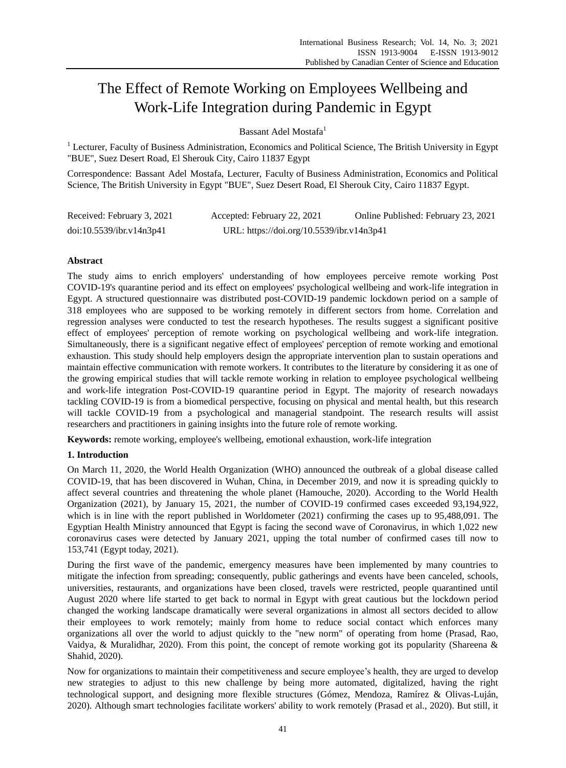# The Effect of Remote Working on Employees Wellbeing and Work-Life Integration during Pandemic in Egypt

Bassant Adel Mostafa<sup>1</sup>

 $1$  Lecturer, Faculty of Business Administration, Economics and Political Science, The British University in Egypt "BUE", Suez Desert Road, El Sherouk City, Cairo 11837 Egypt

Correspondence: Bassant Adel Mostafa, Lecturer, Faculty of Business Administration, Economics and Political Science, The British University in Egypt "BUE", Suez Desert Road, El Sherouk City, Cairo 11837 Egypt.

| Received: February 3, 2021 | Accepted: February 22, 2021               | Online Published: February 23, 2021 |
|----------------------------|-------------------------------------------|-------------------------------------|
| doi:10.5539/ibr.v14n3p41   | URL: https://doi.org/10.5539/ibr.v14n3p41 |                                     |

# **Abstract**

The study aims to enrich employers' understanding of how employees perceive remote working Post COVID-19's quarantine period and its effect on employees' psychological wellbeing and work-life integration in Egypt. A structured questionnaire was distributed post-COVID-19 pandemic lockdown period on a sample of 318 employees who are supposed to be working remotely in different sectors from home. Correlation and regression analyses were conducted to test the research hypotheses. The results suggest a significant positive effect of employees' perception of remote working on psychological wellbeing and work-life integration. Simultaneously, there is a significant negative effect of employees' perception of remote working and emotional exhaustion. This study should help employers design the appropriate intervention plan to sustain operations and maintain effective communication with remote workers. It contributes to the literature by considering it as one of the growing empirical studies that will tackle remote working in relation to employee psychological wellbeing and work-life integration Post-COVID-19 quarantine period in Egypt. The majority of research nowadays tackling COVID-19 is from a biomedical perspective, focusing on physical and mental health, but this research will tackle COVID-19 from a psychological and managerial standpoint. The research results will assist researchers and practitioners in gaining insights into the future role of remote working.

**Keywords:** remote working, employee's wellbeing, emotional exhaustion, work-life integration

# **1. Introduction**

On March 11, 2020, the World Health Organization (WHO) announced the outbreak of a global disease called COVID-19, that has been discovered in Wuhan, China, in December 2019, and now it is spreading quickly to affect several countries and threatening the whole planet (Hamouche, 2020). According to the World Health Organization (2021), by January 15, 2021, the number of COVID-19 confirmed cases exceeded 93,194,922, which is in line with the report published in Worldometer (2021) confirming the cases up to 95,488,091. The Egyptian Health Ministry announced that Egypt is facing the second wave of Coronavirus, in which 1,022 new coronavirus cases were detected by January 2021, upping the total number of confirmed cases till now to 153,741 (Egypt today, 2021).

During the first wave of the pandemic, emergency measures have been implemented by many countries to mitigate the infection from spreading; consequently, public gatherings and events have been canceled, schools, universities, restaurants, and organizations have been closed, travels were restricted, people quarantined until August 2020 where life started to get back to normal in Egypt with great cautious but the lockdown period changed the working landscape dramatically were several organizations in almost all sectors decided to allow their employees to work remotely; mainly from home to reduce social contact which enforces many organizations all over the world to adjust quickly to the "new norm" of operating from home (Prasad, Rao, Vaidya, & Muralidhar, 2020). From this point, the concept of remote working got its popularity (Shareena & Shahid, 2020).

Now for organizations to maintain their competitiveness and secure employee's health, they are urged to develop new strategies to adjust to this new challenge by being more automated, digitalized, having the right technological support, and designing more flexible structures (Gómez, Mendoza, Ramírez & Olivas-Luján, 2020). Although smart technologies facilitate workers' ability to work remotely (Prasad et al., 2020). But still, it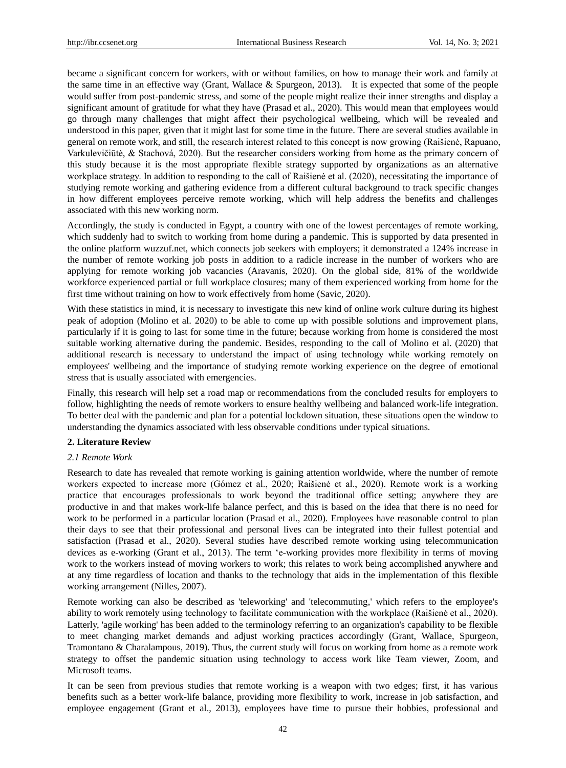became a significant concern for workers, with or without families, on how to manage their work and family at the same time in an effective way (Grant, Wallace & Spurgeon, 2013). It is expected that some of the people would suffer from post-pandemic stress, and some of the people might realize their inner strengths and display a significant amount of gratitude for what they have (Prasad et al., 2020). This would mean that employees would go through many challenges that might affect their psychological wellbeing, which will be revealed and understood in this paper, given that it might last for some time in the future. There are several studies available in general on remote work, and still, the research interest related to this concept is now growing (Raišienė, Rapuano, Varkulevičiūtė, & Stachová, 2020). But the researcher considers working from home as the primary concern of this study because it is the most appropriate flexible strategy supported by organizations as an alternative workplace strategy. In addition to responding to the call of Raišienė et al. (2020), necessitating the importance of studying remote working and gathering evidence from a different cultural background to track specific changes in how different employees perceive remote working, which will help address the benefits and challenges associated with this new working norm.

Accordingly, the study is conducted in Egypt, a country with one of the lowest percentages of remote working, which suddenly had to switch to working from home during a pandemic. This is supported by data presented in the online platform wuzzuf.net, which connects job seekers with employers; it demonstrated a 124% increase in the number of remote working job posts in addition to a radicle increase in the number of workers who are applying for remote working job vacancies (Aravanis, 2020). On the global side, 81% of the worldwide workforce experienced partial or full workplace closures; many of them experienced working from home for the first time without training on how to work effectively from home (Savic, 2020).

With these statistics in mind, it is necessary to investigate this new kind of online work culture during its highest peak of adoption (Molino et al. 2020) to be able to come up with possible solutions and improvement plans, particularly if it is going to last for some time in the future; because working from home is considered the most suitable working alternative during the pandemic. Besides, responding to the call of Molino et al. (2020) that additional research is necessary to understand the impact of using technology while working remotely on employees' wellbeing and the importance of studying remote working experience on the degree of emotional stress that is usually associated with emergencies.

Finally, this research will help set a road map or recommendations from the concluded results for employers to follow, highlighting the needs of remote workers to ensure healthy wellbeing and balanced work-life integration. To better deal with the pandemic and plan for a potential lockdown situation, these situations open the window to understanding the dynamics associated with less observable conditions under typical situations.

## **2. Literature Review**

## *2.1 Remote Work*

Research to date has revealed that remote working is gaining attention worldwide, where the number of remote workers expected to increase more (Gómez et al., 2020; Raišienė et al., 2020). Remote work is a working practice that encourages professionals to work beyond the traditional office setting; anywhere they are productive in and that makes work-life balance perfect, and this is based on the idea that there is no need for work to be performed in a particular location (Prasad et al., 2020). Employees have reasonable control to plan their days to see that their professional and personal lives can be integrated into their fullest potential and satisfaction (Prasad et al., 2020). Several studies have described remote working using telecommunication devices as e-working (Grant et al., 2013). The term 'e-working provides more flexibility in terms of moving work to the workers instead of moving workers to work; this relates to work being accomplished anywhere and at any time regardless of location and thanks to the technology that aids in the implementation of this flexible working arrangement (Nilles, 2007).

Remote working can also be described as 'teleworking' and 'telecommuting,' which refers to the employee's ability to work remotely using technology to facilitate communication with the workplace (Raišienė et al., 2020). Latterly, 'agile working' has been added to the terminology referring to an organization's capability to be flexible to meet changing market demands and adjust working practices accordingly (Grant, Wallace, Spurgeon, Tramontano & Charalampous, 2019). Thus, the current study will focus on working from home as a remote work strategy to offset the pandemic situation using technology to access work like Team viewer, Zoom, and Microsoft teams.

It can be seen from previous studies that remote working is a weapon with two edges; first, it has various benefits such as a better work-life balance, providing more flexibility to work, increase in job satisfaction, and employee engagement (Grant et al., 2013), employees have time to pursue their hobbies, professional and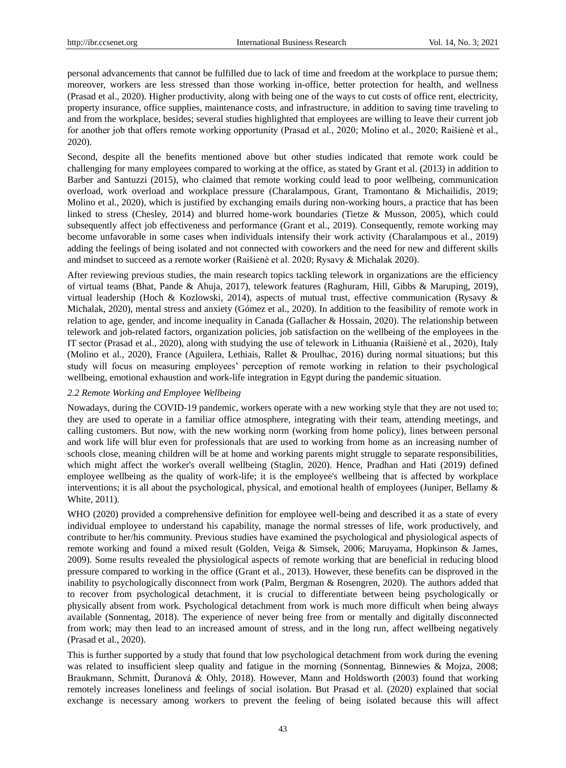personal advancements that cannot be fulfilled due to lack of time and freedom at the workplace to pursue them; moreover, workers are less stressed than those working in-office, better protection for health, and wellness (Prasad et al., 2020). Higher productivity, along with being one of the ways to cut costs of office rent, electricity, property insurance, office supplies, maintenance costs, and infrastructure, in addition to saving time traveling to and from the workplace, besides; several studies highlighted that employees are willing to leave their current job for another job that offers remote working opportunity (Prasad et al., 2020; Molino et al., 2020; Raišienė et al., 2020).

Second, despite all the benefits mentioned above but other studies indicated that remote work could be challenging for many employees compared to working at the office, as stated by Grant et al. (2013) in addition to Barber and Santuzzi (2015), who claimed that remote working could lead to poor wellbeing, communication overload, work overload and workplace pressure (Charalampous, Grant, Tramontano & Michailidis, 2019; Molino et al., 2020), which is justified by exchanging emails during non-working hours, a practice that has been linked to stress (Chesley, 2014) and blurred home-work boundaries (Tietze & Musson, 2005), which could subsequently affect job effectiveness and performance (Grant et al., 2019). Consequently, remote working may become unfavorable in some cases when individuals intensify their work activity (Charalampous et al., 2019) adding the feelings of being isolated and not connected with coworkers and the need for new and different skills and mindset to succeed as a remote worker (Raišienė et al. 2020; Rysavy & Michalak 2020).

After reviewing previous studies, the main research topics tackling telework in organizations are the efficiency of virtual teams (Bhat, Pande & Ahuja, 2017), telework features (Raghuram, Hill, Gibbs & Maruping, 2019), virtual leadership (Hoch & Kozlowski, 2014), aspects of mutual trust, effective communication (Rysavy & Michalak, 2020), mental stress and anxiety (Gómez et al., 2020). In addition to the feasibility of remote work in relation to age, gender, and income inequality in Canada (Gallacher & Hossain, 2020). The relationship between telework and job-related factors, organization policies, job satisfaction on the wellbeing of the employees in the IT sector (Prasad et al., 2020), along with studying the use of telework in Lithuania (Raišienė et al., 2020), Italy (Molino et al., 2020), France (Aguilera, Lethiais, Rallet & Proulhac, 2016) during normal situations; but this study will focus on measuring employees' perception of remote working in relation to their psychological wellbeing, emotional exhaustion and work-life integration in Egypt during the pandemic situation.

#### *2.2 Remote Working and Employee Wellbeing*

Nowadays, during the COVID-19 pandemic, workers operate with a new working style that they are not used to; they are used to operate in a familiar office atmosphere, integrating with their team, attending meetings, and calling customers. But now, with the new working norm (working from home policy), lines between personal and work life will blur even for professionals that are used to working from home as an increasing number of schools close, meaning children will be at home and working parents might struggle to separate responsibilities, which might affect the worker's overall wellbeing (Staglin, 2020). Hence, Pradhan and Hati (2019) defined employee wellbeing as the quality of work-life; it is the employee's wellbeing that is affected by workplace interventions; it is all about the psychological, physical, and emotional health of employees (Juniper, Bellamy & White, 2011).

WHO (2020) provided a comprehensive definition for employee well-being and described it as a state of every individual employee to understand his capability, manage the normal stresses of life, work productively, and contribute to her/his community. Previous studies have examined the psychological and physiological aspects of remote working and found a mixed result (Golden, Veiga & Simsek, 2006; Maruyama, Hopkinson & James, 2009). Some results revealed the physiological aspects of remote working that are beneficial in reducing blood pressure compared to working in the office (Grant et al., 2013). However, these benefits can be disproved in the inability to psychologically disconnect from work (Palm, Bergman & Rosengren, 2020). The authors added that to recover from psychological detachment, it is crucial to differentiate between being psychologically or physically absent from work. Psychological detachment from work is much more difficult when being always available (Sonnentag, 2018). The experience of never being free from or mentally and digitally disconnected from work; may then lead to an increased amount of stress, and in the long run, affect wellbeing negatively (Prasad et al., 2020).

This is further supported by a study that found that low psychological detachment from work during the evening was related to insufficient sleep quality and fatigue in the morning (Sonnentag, Binnewies & Mojza, 2008; Braukmann, Schmitt, Ďuranová & Ohly, 2018). However, Mann and Holdsworth (2003) found that working remotely increases loneliness and feelings of social isolation. But Prasad et al. (2020) explained that social exchange is necessary among workers to prevent the feeling of being isolated because this will affect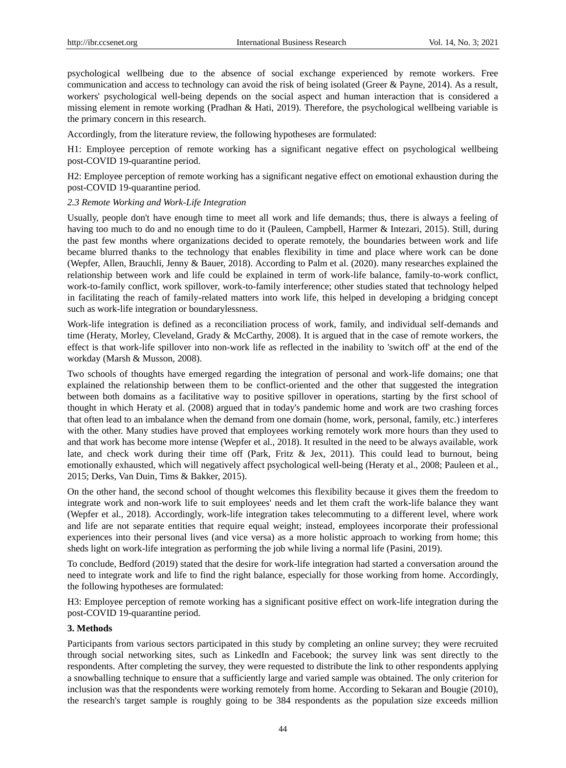psychological wellbeing due to the absence of social exchange experienced by remote workers. Free communication and access to technology can avoid the risk of being isolated (Greer & Payne, 2014). As a result, workers' psychological well-being depends on the social aspect and human interaction that is considered a missing element in remote working (Pradhan & Hati, 2019). Therefore, the psychological wellbeing variable is the primary concern in this research.

Accordingly, from the literature review, the following hypotheses are formulated:

H1: Employee perception of remote working has a significant negative effect on psychological wellbeing post-COVID 19-quarantine period.

H2: Employee perception of remote working has a significant negative effect on emotional exhaustion during the post-COVID 19-quarantine period.

## *2.3 Remote Working and Work-Life Integration*

Usually, people don't have enough time to meet all work and life demands; thus, there is always a feeling of having too much to do and no enough time to do it (Pauleen, Campbell, Harmer & Intezari, 2015). Still, during the past few months where organizations decided to operate remotely, the boundaries between work and life became blurred thanks to the technology that enables flexibility in time and place where work can be done (Wepfer, Allen, Brauchli, Jenny & Bauer, 2018). According to Palm et al. (2020). many researches explained the relationship between work and life could be explained in term of work-life balance, family-to-work conflict, work-to-family conflict, work spillover, work-to-family interference; other studies stated that technology helped in facilitating the reach of family-related matters into work life, this helped in developing a bridging concept such as work-life integration or boundarylessness.

Work-life integration is defined as a reconciliation process of work, family, and individual self-demands and time (Heraty, Morley, Cleveland, Grady & McCarthy, 2008). It is argued that in the case of remote workers, the effect is that work-life spillover into non-work life as reflected in the inability to 'switch off' at the end of the workday (Marsh & Musson, 2008).

Two schools of thoughts have emerged regarding the integration of personal and work-life domains; one that explained the relationship between them to be conflict-oriented and the other that suggested the integration between both domains as a facilitative way to positive spillover in operations, starting by the first school of thought in which Heraty et al. (2008) argued that in today's pandemic home and work are two crashing forces that often lead to an imbalance when the demand from one domain (home, work, personal, family, etc.) interferes with the other. Many studies have proved that employees working remotely work more hours than they used to and that work has become more intense (Wepfer et al., 2018). It resulted in the need to be always available, work late, and check work during their time off (Park, Fritz & Jex, 2011). This could lead to burnout, being emotionally exhausted, which will negatively affect psychological well-being (Heraty et al., 2008; Pauleen et al., 2015; Derks, Van Duin, Tims & Bakker, 2015).

On the other hand, the second school of thought welcomes this flexibility because it gives them the freedom to integrate work and non-work life to suit employees' needs and let them craft the work-life balance they want (Wepfer et al., 2018). Accordingly, work-life integration takes telecommuting to a different level, where work and life are not separate entities that require equal weight; instead, employees incorporate their professional experiences into their personal lives (and vice versa) as a more holistic approach to working from home; this sheds light on work-life integration as performing the job while living a normal life (Pasini, 2019).

To conclude, Bedford (2019) stated that the desire for work-life integration had started a conversation around the need to integrate work and life to find the right balance, especially for those working from home. Accordingly, the following hypotheses are formulated:

H3: Employee perception of remote working has a significant positive effect on work-life integration during the post-COVID 19-quarantine period.

#### **3. Methods**

Participants from various sectors participated in this study by completing an online survey; they were recruited through social networking sites, such as LinkedIn and Facebook; the survey link was sent directly to the respondents. After completing the survey, they were requested to distribute the link to other respondents applying a snowballing technique to ensure that a sufficiently large and varied sample was obtained. The only criterion for inclusion was that the respondents were working remotely from home. According to Sekaran and Bougie (2010), the research's target sample is roughly going to be 384 respondents as the population size exceeds million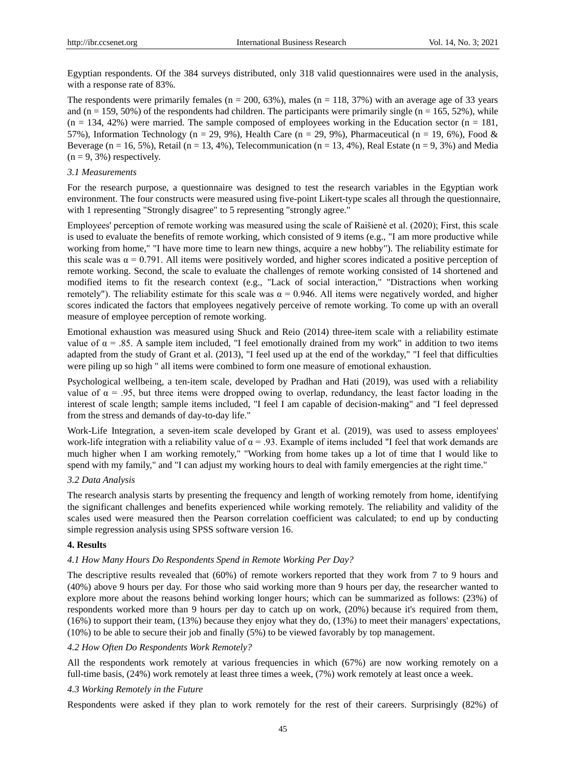Egyptian respondents. Of the 384 surveys distributed, only 318 valid questionnaires were used in the analysis, with a response rate of 83%.

The respondents were primarily females ( $n = 200, 63\%$ ), males ( $n = 118, 37\%$ ) with an average age of 33 years and  $(n = 159, 50%)$  of the respondents had children. The participants were primarily single  $(n = 165, 52%)$ , while  $(n = 134, 42\%)$  were married. The sample composed of employees working in the Education sector  $(n = 181,$ 57%), Information Technology (n = 29, 9%), Health Care (n = 29, 9%), Pharmaceutical (n = 19, 6%), Food & Beverage ( $n = 16, 5\%$ ), Retail ( $n = 13, 4\%$ ), Telecommunication ( $n = 13, 4\%$ ), Real Estate ( $n = 9, 3\%$ ) and Media  $(n = 9, 3\%)$  respectively.

#### *3.1 Measurements*

For the research purpose, a questionnaire was designed to test the research variables in the Egyptian work environment. The four constructs were measured using five-point Likert-type scales all through the questionnaire, with 1 representing "Strongly disagree" to 5 representing "strongly agree."

Employees' perception of remote working was measured using the scale of Raišienė et al. (2020); First, this scale is used to evaluate the benefits of remote working, which consisted of 9 items (e.g., "I am more productive while working from home," "I have more time to learn new things, acquire a new hobby"). The reliability estimate for this scale was  $\alpha = 0.791$ . All items were positively worded, and higher scores indicated a positive perception of remote working. Second, the scale to evaluate the challenges of remote working consisted of 14 shortened and modified items to fit the research context (e.g., "Lack of social interaction," "Distractions when working remotely"). The reliability estimate for this scale was  $α = 0.946$ . All items were negatively worded, and higher scores indicated the factors that employees negatively perceive of remote working. To come up with an overall measure of employee perception of remote working.

Emotional exhaustion was measured using Shuck and Reio (2014) three-item scale with a reliability estimate value of  $\alpha = .85$ . A sample item included, "I feel emotionally drained from my work" in addition to two items adapted from the study of Grant et al. (2013), "I feel used up at the end of the workday," "I feel that difficulties were piling up so high " all items were combined to form one measure of emotional exhaustion.

Psychological wellbeing, a ten-item scale, developed by Pradhan and Hati (2019), was used with a reliability value of  $\alpha = .95$ , but three items were dropped owing to overlap, redundancy, the least factor loading in the interest of scale length; sample items included, "I feel I am capable of decision-making" and "I feel depressed from the stress and demands of day-to-day life."

Work-Life Integration, a seven-item scale developed by Grant et al. (2019), was used to assess employees' work-life integration with a reliability value of  $\alpha = .93$ . Example of items included "I feel that work demands are much higher when I am working remotely," "Working from home takes up a lot of time that I would like to spend with my family," and "I can adjust my working hours to deal with family emergencies at the right time."

## *3.2 Data Analysis*

The research analysis starts by presenting the frequency and length of working remotely from home, identifying the significant challenges and benefits experienced while working remotely. The reliability and validity of the scales used were measured then the Pearson correlation coefficient was calculated; to end up by conducting simple regression analysis using SPSS software version 16.

## **4. Results**

#### *4.1 How Many Hours Do Respondents Spend in Remote Working Per Day?*

The descriptive results revealed that (60%) of remote workers reported that they work from 7 to 9 hours and (40%) above 9 hours per day. For those who said working more than 9 hours per day, the researcher wanted to explore more about the reasons behind working longer hours; which can be summarized as follows: (23%) of respondents worked more than 9 hours per day to catch up on work, (20%) because it's required from them, (16%) to support their team, (13%) because they enjoy what they do, (13%) to meet their managers' expectations, (10%) to be able to secure their job and finally (5%) to be viewed favorably by top management.

#### *4.2 How Often Do Respondents Work Remotely?*

All the respondents work remotely at various frequencies in which (67%) are now working remotely on a full-time basis, (24%) work remotely at least three times a week, (7%) work remotely at least once a week.

#### *4.3 Working Remotely in the Future*

Respondents were asked if they plan to work remotely for the rest of their careers. Surprisingly (82%) of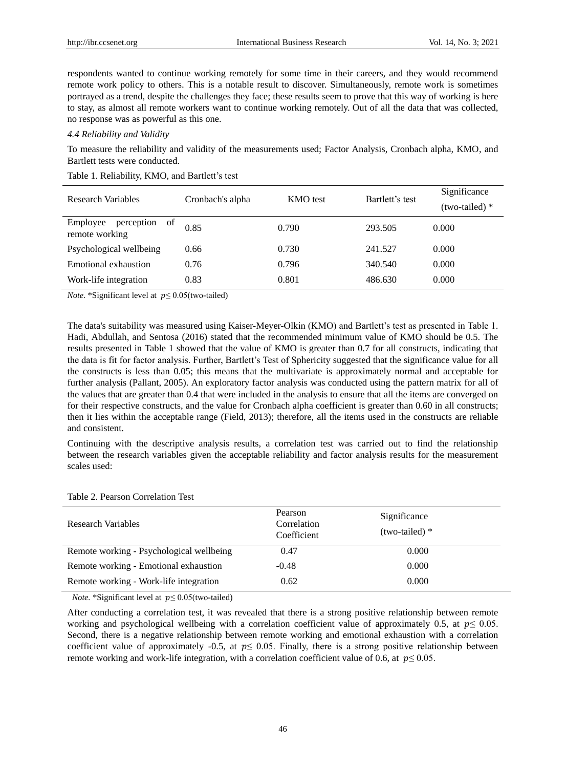respondents wanted to continue working remotely for some time in their careers, and they would recommend remote work policy to others. This is a notable result to discover. Simultaneously, remote work is sometimes portrayed as a trend, despite the challenges they face; these results seem to prove that this way of working is here to stay, as almost all remote workers want to continue working remotely. Out of all the data that was collected, no response was as powerful as this one.

## *4.4 Reliability and Validity*

To measure the reliability and validity of the measurements used; Factor Analysis, Cronbach alpha, KMO, and Bartlett tests were conducted.

| Research Variables                             | Cronbach's alpha | <b>KMO</b> test | Bartlett's test | Significance<br>$(two-tailed)*$ |
|------------------------------------------------|------------------|-----------------|-----------------|---------------------------------|
| Employee<br>perception<br>of<br>remote working | 0.85             | 0.790           | 293.505         | 0.000                           |
| Psychological wellbeing                        | 0.66             | 0.730           | 241.527         | 0.000                           |
| Emotional exhaustion                           | 0.76             | 0.796           | 340.540         | 0.000                           |
| Work-life integration                          | 0.83             | 0.801           | 486.630         | 0.000                           |

#### Table 1. Reliability, KMO, and Bartlett's test

*Note.* \*Significant level at  $p \le 0.05$ (two-tailed)

The data's suitability was measured using Kaiser-Meyer-Olkin (KMO) and Bartlett's test as presented in Table 1. Hadi, Abdullah, and Sentosa (2016) stated that the recommended minimum value of KMO should be 0.5. The results presented in Table 1 showed that the value of KMO is greater than 0.7 for all constructs, indicating that the data is fit for factor analysis. Further, Bartlett's Test of Sphericity suggested that the significance value for all the constructs is less than 0.05; this means that the multivariate is approximately normal and acceptable for further analysis (Pallant, 2005). An exploratory factor analysis was conducted using the pattern matrix for all of the values that are greater than 0.4 that were included in the analysis to ensure that all the items are converged on for their respective constructs, and the value for Cronbach alpha coefficient is greater than 0.60 in all constructs; then it lies within the acceptable range (Field, 2013); therefore, all the items used in the constructs are reliable and consistent.

Continuing with the descriptive analysis results, a correlation test was carried out to find the relationship between the research variables given the acceptable reliability and factor analysis results for the measurement scales used:

| Research Variables                       | Pearson<br>Correlation<br>Coefficient | Significance<br>$(two-tailed)*$ |
|------------------------------------------|---------------------------------------|---------------------------------|
| Remote working - Psychological wellbeing | 0.47                                  | 0.000                           |
| Remote working - Emotional exhaustion    | -0.48                                 | 0.000                           |
| Remote working - Work-life integration   | 0.62                                  | 0.000                           |

Table 2. Pearson Correlation Test

*Note.* \*Significant level at  $p \le 0.05$ (two-tailed)

After conducting a correlation test, it was revealed that there is a strong positive relationship between remote working and psychological wellbeing with a correlation coefficient value of approximately 0.5, at  $p \le 0.05$ . Second, there is a negative relationship between remote working and emotional exhaustion with a correlation coefficient value of approximately -0.5, at  $p \le 0.05$ . Finally, there is a strong positive relationship between remote working and work-life integration, with a correlation coefficient value of 0.6, at  $p \le 0.05$ .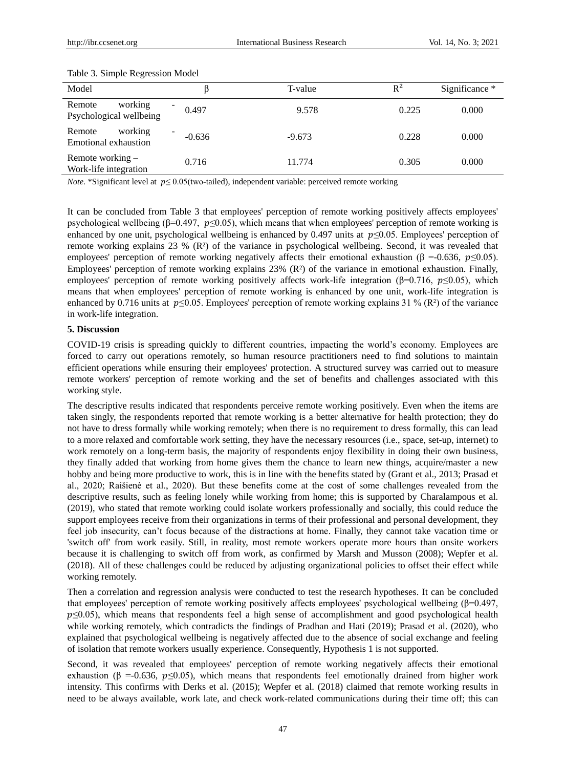| Model                                        |                                      | T-value  | $R^2$ | Significance * |
|----------------------------------------------|--------------------------------------|----------|-------|----------------|
| working<br>Remote<br>Psychological wellbeing | -<br>0.497                           | 9.578    | 0.225 | 0.000          |
| working<br>Remote<br>Emotional exhaustion    | $\overline{\phantom{a}}$<br>$-0.636$ | $-9.673$ | 0.228 | 0.000          |
| Remote working $-$<br>Work-life integration  | 0.716                                | 11.774   | 0.305 | 0.000          |

#### Table 3. Simple Regression Model

*Note.* \*Significant level at  $p \le 0.05$  (two-tailed), independent variable: perceived remote working

It can be concluded from Table 3 that employees' perception of remote working positively affects employees' psychological wellbeing ( $\beta$ =0.497,  $p \le 0.05$ ), which means that when employees' perception of remote working is enhanced by one unit, psychological wellbeing is enhanced by 0.497 units at  $p\leq 0.05$ . Employees' perception of remote working explains 23 % (R 3 of the variance in psychological wellbeing. Second, it was revealed that employees' perception of remote working negatively affects their emotional exhaustion ( $\beta = -0.636$ ,  $p \le 0.05$ ). Employees' perception of remote working explains 23% (R 3 of the variance in emotional exhaustion. Finally, employees' perception of remote working positively affects work-life integration ( $\beta$ =0.716,  $p \le 0.05$ ), which means that when employees' perception of remote working is enhanced by one unit, work-life integration is enhanced by 0.716 units at  $p \le 0.05$ . Employees' perception of remote working explains 31 % (R<sup>2</sup>) of the variance in work-life integration.

#### **5. Discussion**

COVID-19 crisis is spreading quickly to different countries, impacting the world's economy. Employees are forced to carry out operations remotely, so human resource practitioners need to find solutions to maintain efficient operations while ensuring their employees' protection. A structured survey was carried out to measure remote workers' perception of remote working and the set of benefits and challenges associated with this working style.

The descriptive results indicated that respondents perceive remote working positively. Even when the items are taken singly, the respondents reported that remote working is a better alternative for health protection; they do not have to dress formally while working remotely; when there is no requirement to dress formally, this can lead to a more relaxed and comfortable work setting, they have the necessary resources (i.e., space, set-up, internet) to work remotely on a long-term basis, the majority of respondents enjoy flexibility in doing their own business, they finally added that working from home gives them the chance to learn new things, acquire/master a new hobby and being more productive to work, this is in line with the benefits stated by (Grant et al., 2013; Prasad et al., 2020; Raišienė et al., 2020). But these benefits come at the cost of some challenges revealed from the descriptive results, such as feeling lonely while working from home; this is supported by Charalampous et al. (2019), who stated that remote working could isolate workers professionally and socially, this could reduce the support employees receive from their organizations in terms of their professional and personal development, they feel job insecurity, can't focus because of the distractions at home. Finally, they cannot take vacation time or 'switch off' from work easily. Still, in reality, most remote workers operate more hours than onsite workers because it is challenging to switch off from work, as confirmed by Marsh and Musson (2008); Wepfer et al. (2018). All of these challenges could be reduced by adjusting organizational policies to offset their effect while working remotely.

Then a correlation and regression analysis were conducted to test the research hypotheses. It can be concluded that employees' perception of remote working positively affects employees' psychological wellbeing (β=0.497,  $p \leq 0.05$ ), which means that respondents feel a high sense of accomplishment and good psychological health while working remotely, which contradicts the findings of Pradhan and Hati (2019); Prasad et al. (2020), who explained that psychological wellbeing is negatively affected due to the absence of social exchange and feeling of isolation that remote workers usually experience. Consequently, Hypothesis 1 is not supported.

Second, it was revealed that employees' perception of remote working negatively affects their emotional exhaustion ( $\beta$  =-0.636,  $p \le 0.05$ ), which means that respondents feel emotionally drained from higher work intensity. This confirms with Derks et al. (2015); Wepfer et al. (2018) claimed that remote working results in need to be always available, work late, and check work-related communications during their time off; this can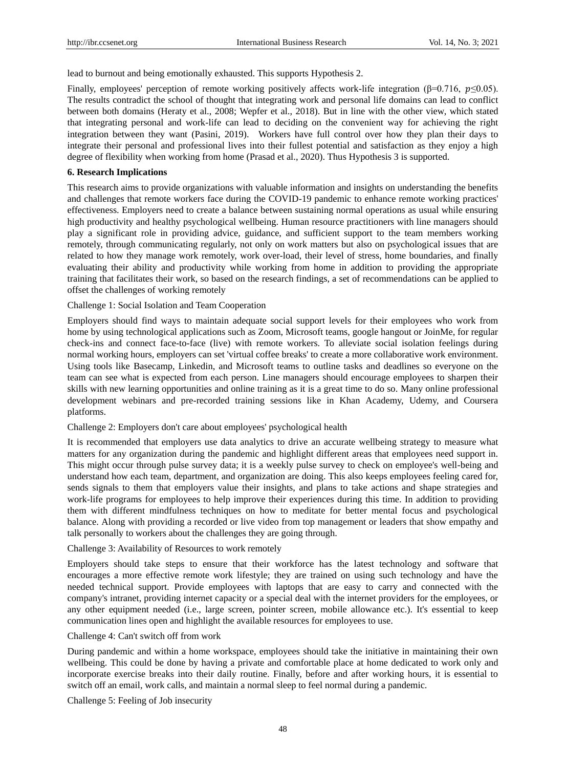lead to burnout and being emotionally exhausted. This supports Hypothesis 2.

Finally, employees' perception of remote working positively affects work-life integration ( $\beta$ =0.716,  $p \le 0.05$ ). The results contradict the school of thought that integrating work and personal life domains can lead to conflict between both domains (Heraty et al., 2008; Wepfer et al., 2018). But in line with the other view, which stated that integrating personal and work-life can lead to deciding on the convenient way for achieving the right integration between they want (Pasini, 2019). Workers have full control over how they plan their days to integrate their personal and professional lives into their fullest potential and satisfaction as they enjoy a high degree of flexibility when working from home (Prasad et al., 2020). Thus Hypothesis 3 is supported.

#### **6. Research Implications**

This research aims to provide organizations with valuable information and insights on understanding the benefits and challenges that remote workers face during the COVID-19 pandemic to enhance remote working practices' effectiveness. Employers need to create a balance between sustaining normal operations as usual while ensuring high productivity and healthy psychological wellbeing. Human resource practitioners with line managers should play a significant role in providing advice, guidance, and sufficient support to the team members working remotely, through communicating regularly, not only on work matters but also on psychological issues that are related to how they manage work remotely, work over-load, their level of stress, home boundaries, and finally evaluating their ability and productivity while working from home in addition to providing the appropriate training that facilitates their work, so based on the research findings, a set of recommendations can be applied to offset the challenges of working remotely

#### Challenge 1: Social Isolation and Team Cooperation

Employers should find ways to maintain adequate social support levels for their employees who work from home by using technological applications such as Zoom, Microsoft teams, google hangout or JoinMe, for regular check-ins and connect face-to-face (live) with remote workers. To alleviate social isolation feelings during normal working hours, employers can set 'virtual coffee breaks' to create a more collaborative work environment. Using tools like Basecamp, Linkedin, and Microsoft teams to outline tasks and deadlines so everyone on the team can see what is expected from each person. Line managers should encourage employees to sharpen their skills with new learning opportunities and online training as it is a great time to do so. Many online professional development webinars and pre-recorded training sessions like in Khan Academy, Udemy, and Coursera platforms.

#### Challenge 2: Employers don't care about employees' psychological health

It is recommended that employers use data analytics to drive an accurate wellbeing strategy to measure what matters for any organization during the pandemic and highlight different areas that employees need support in. This might occur through pulse survey data; it is a weekly pulse survey to check on employee's well-being and understand how each team, department, and organization are doing. This also keeps employees feeling cared for, sends signals to them that employers value their insights, and plans to take actions and shape strategies and work-life programs for employees to help improve their experiences during this time. In addition to providing them with different mindfulness techniques on how to meditate for better mental focus and psychological balance. Along with providing a recorded or live video from top management or leaders that show empathy and talk personally to workers about the challenges they are going through.

## Challenge 3: Availability of Resources to work remotely

Employers should take steps to ensure that their workforce has the latest technology and software that encourages a more effective remote work lifestyle; they are trained on using such technology and have the needed technical support. Provide employees with laptops that are easy to carry and connected with the company's intranet, providing internet capacity or a special deal with the internet providers for the employees, or any other equipment needed (i.e., large screen, pointer screen, mobile allowance etc.). It's essential to keep communication lines open and highlight the available resources for employees to use.

#### Challenge 4: Can't switch off from work

During pandemic and within a home workspace, employees should take the initiative in maintaining their own wellbeing. This could be done by having a private and comfortable place at home dedicated to work only and incorporate exercise breaks into their daily routine. Finally, before and after working hours, it is essential to switch off an email, work calls, and maintain a normal sleep to feel normal during a pandemic.

Challenge 5: Feeling of Job insecurity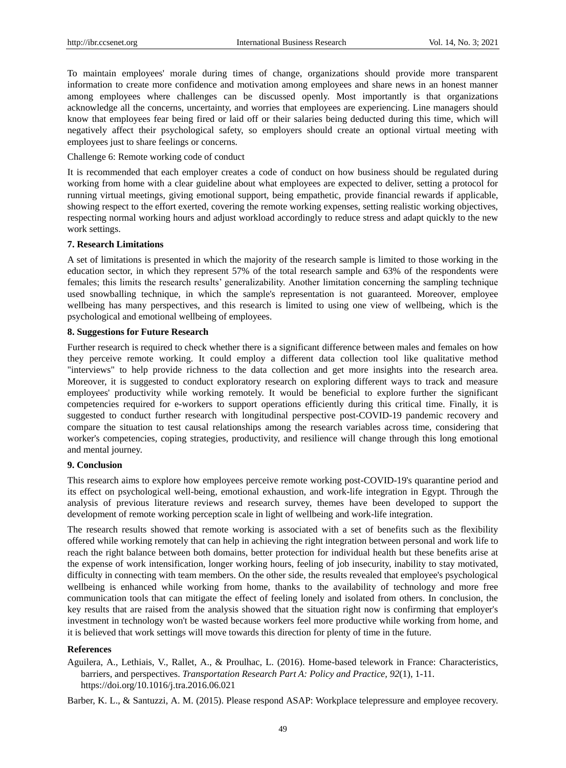To maintain employees' morale during times of change, organizations should provide more transparent information to create more confidence and motivation among employees and share news in an honest manner among employees where challenges can be discussed openly. Most importantly is that organizations acknowledge all the concerns, uncertainty, and worries that employees are experiencing. Line managers should know that employees fear being fired or laid off or their salaries being deducted during this time, which will negatively affect their psychological safety, so employers should create an optional virtual meeting with employees just to share feelings or concerns.

## Challenge 6: Remote working code of conduct

It is recommended that each employer creates a code of conduct on how business should be regulated during working from home with a clear guideline about what employees are expected to deliver, setting a protocol for running virtual meetings, giving emotional support, being empathetic, provide financial rewards if applicable, showing respect to the effort exerted, covering the remote working expenses, setting realistic working objectives, respecting normal working hours and adjust workload accordingly to reduce stress and adapt quickly to the new work settings.

### **7. Research Limitations**

A set of limitations is presented in which the majority of the research sample is limited to those working in the education sector, in which they represent 57% of the total research sample and 63% of the respondents were females; this limits the research results' generalizability. Another limitation concerning the sampling technique used snowballing technique, in which the sample's representation is not guaranteed. Moreover, employee wellbeing has many perspectives, and this research is limited to using one view of wellbeing, which is the psychological and emotional wellbeing of employees.

## **8. Suggestions for Future Research**

Further research is required to check whether there is a significant difference between males and females on how they perceive remote working. It could employ a different data collection tool like qualitative method "interviews" to help provide richness to the data collection and get more insights into the research area. Moreover, it is suggested to conduct exploratory research on exploring different ways to track and measure employees' productivity while working remotely. It would be beneficial to explore further the significant competencies required for e-workers to support operations efficiently during this critical time. Finally, it is suggested to conduct further research with longitudinal perspective post-COVID-19 pandemic recovery and compare the situation to test causal relationships among the research variables across time, considering that worker's competencies, coping strategies, productivity, and resilience will change through this long emotional and mental journey.

## **9. Conclusion**

This research aims to explore how employees perceive remote working post-COVID-19's quarantine period and its effect on psychological well-being, emotional exhaustion, and work-life integration in Egypt. Through the analysis of previous literature reviews and research survey, themes have been developed to support the development of remote working perception scale in light of wellbeing and work-life integration.

The research results showed that remote working is associated with a set of benefits such as the flexibility offered while working remotely that can help in achieving the right integration between personal and work life to reach the right balance between both domains, better protection for individual health but these benefits arise at the expense of work intensification, longer working hours, feeling of job insecurity, inability to stay motivated, difficulty in connecting with team members. On the other side, the results revealed that employee's psychological wellbeing is enhanced while working from home, thanks to the availability of technology and more free communication tools that can mitigate the effect of feeling lonely and isolated from others. In conclusion, the key results that are raised from the analysis showed that the situation right now is confirming that employer's investment in technology won't be wasted because workers feel more productive while working from home, and it is believed that work settings will move towards this direction for plenty of time in the future.

#### **References**

Aguilera, A., Lethiais, V., Rallet, A., & Proulhac, L. (2016). Home-based telework in France: Characteristics, barriers, and perspectives. *Transportation Research Part A: Policy and Practice, 92*(1), 1-11. <https://doi.org/10.1016/j.tra.2016.06.021>

Barber, K. L., & Santuzzi, A. M. (2015). Please respond ASAP: Workplace telepressure and employee recovery.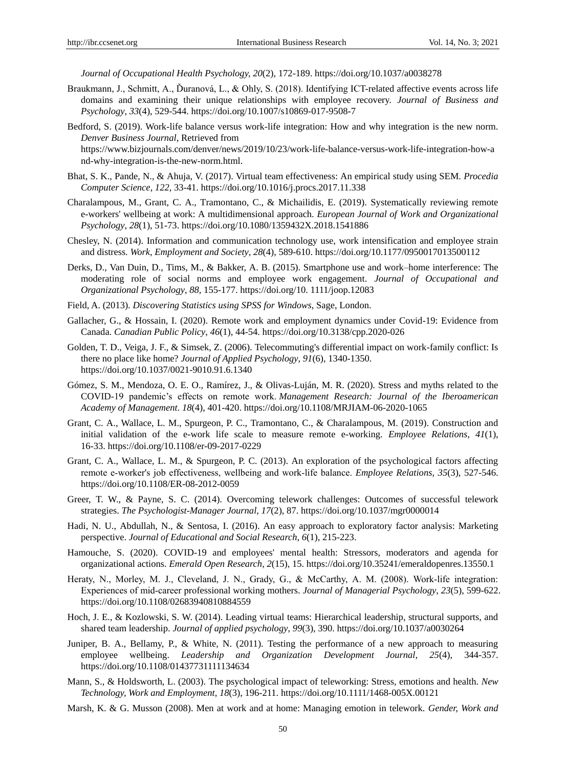*Journal of Occupational Health Psychology, 20*(2), 172-189. https://doi.org/10.1037/a0038278

- Braukmann, J., Schmitt, A., Ďuranová, L., & Ohly, S. (2018). Identifying ICT-related affective events across life domains and examining their unique relationships with employee recovery. *Journal of Business and Psychology*, *33*(4), 529-544. https://doi.org/10.1007/s10869-017-9508-7
- Bedford, S. (2019). Work-life balance versus work-life integration: How and why integration is the new norm. *Denver Business Journal*, Retrieved from [https://www.bizjournals.com/denver/news/2019/10/23/work-life-balance-versus-work-life-integration-how-a](https://www.bizjournals.com/denver/news/2019/10/23/work-life-balance-versus-work-life-integration-how-and-why-integration-is-the-new-norm.html) [nd-why-integration-is-the-new-norm.html.](https://www.bizjournals.com/denver/news/2019/10/23/work-life-balance-versus-work-life-integration-how-and-why-integration-is-the-new-norm.html)
- Bhat, S. K., Pande, N., & Ahuja, V. (2017). Virtual team effectiveness: An empirical study using SEM. *Procedia Computer Science*, *122*, 33-41[. https://doi.org/10.1016/j.procs.2017.11.338](https://doi.org/10.1016/j.procs.2017.11.338)
- Charalampous, M., Grant, C. A., Tramontano, C., & Michailidis, E. (2019). Systematically reviewing remote e-workers' wellbeing at work: A multidimensional approach. *European Journal of Work and Organizational Psychology*, *28*(1), 51-73. https://doi.org/10.1080/1359432X.2018.1541886
- Chesley, N. (2014). Information and communication technology use, work intensification and employee strain and distress. *Work, Employment and Society*, *28*(4), 589-610[. https://doi.org/10.1177/0950017013500112](https://doi.org/10.1177/0950017013500112)
- Derks, D., Van Duin, D., Tims, M., & Bakker, A. B. (2015). Smartphone use and work–home interference: The moderating role of social norms and employee work engagement. *Journal of Occupational and Organizational Psychology*, *88,* 155-177. [https://doi.org/10. 1111/joop.12083](https://doi.org/10.%201111/joop.12083)
- Field, A. (2013). *Discovering Statistics using SPSS for Windows*, Sage, London.
- Gallacher, G., & Hossain, I. (2020). Remote work and employment dynamics under Covid-19: Evidence from Canada. *Canadian Public Policy*, *46*(1), 44-54.<https://doi.org/10.3138/cpp.2020-026>
- Golden, T. D., Veiga, J. F., & Simsek, Z. (2006). Telecommuting's differential impact on work-family conflict: Is there no place like home? *Journal of Applied Psychology*, *91*(6), 1340-1350. <https://doi.org/10.1037/0021-9010.91.6.1340>
- Gómez, S. M., Mendoza, O. E. O., Ramírez, J., & Olivas-Luján, M. R. (2020). Stress and myths related to the COVID-19 pandemic's effects on remote work. *Management Research: Journal of the Iberoamerican Academy of Management*. *18*(4), 401-420. <https://doi.org/10.1108/MRJIAM-06-2020-1065>
- Grant, C. A., Wallace, L. M., Spurgeon, P. C., Tramontano, C., & Charalampous, M. (2019). Construction and initial validation of the e-work life scale to measure remote e-working. *Employee Relations*, *41*(1), 16-33. <https://doi.org/10.1108/er-09-2017-0229>
- Grant, C. A., Wallace, L. M., & Spurgeon, P. C. (2013). An exploration of the psychological factors affecting remote e‐worker's job effectiveness, wellbeing and work‐life balance. *Employee Relations*, *35*(3), 527-546. <https://doi.org/10.1108/ER-08-2012-0059>
- Greer, T. W., & Payne, S. C. (2014). Overcoming telework challenges: Outcomes of successful telework strategies. *The Psychologist-Manager Journal*, *17*(2), 87[. https://doi.org/10.1037/mgr0000014](https://doi.org/10.1037/mgr0000014)
- Hadi, N. U., Abdullah, N., & Sentosa, I. (2016). An easy approach to exploratory factor analysis: Marketing perspective. *Journal of Educational and Social Research*, *6*(1), 215-223.
- Hamouche, S. (2020). COVID-19 and employees' mental health: Stressors, moderators and agenda for organizational actions. *Emerald Open Research*, *2*(15), 15[. https://doi.org/10.35241/emeraldopenres.13550.1](https://doi.org/10.35241/emeraldopenres.13550.1)
- Heraty, N., Morley, M. J., Cleveland, J. N., Grady, G., & McCarthy, A. M. (2008). Work-life integration: Experiences of mid‐career professional working mothers. *Journal of Managerial Psychology*, *23*(5), 599-622. https://doi.org/10.1108/02683940810884559
- Hoch, J. E., & Kozlowski, S. W. (2014). Leading virtual teams: Hierarchical leadership, structural supports, and shared team leadership. *Journal of applied psychology*, *99*(3), 390[. https://doi.org/10.1037/a0030264](https://doi.org/10.1037/a0030264)
- Juniper, B. A., Bellamy, P., & White, N. (2011). Testing the performance of a new approach to measuring employee wellbeing. *Leadership and Organization Development Journal, 25*(4), 344-357. <https://doi.org/10.1108/01437731111134634>
- Mann, S., & Holdsworth, L. (2003). The psychological impact of teleworking: Stress, emotions and health. *New Technology, Work and Employment*, *18*(3), 196-211[. https://doi.org/10.1111/1468-005X.00121](https://doi.org/10.1111/1468-005X.00121)
- Marsh, K. & G. Musson (2008). Men at work and at home: Managing emotion in telework. *Gender, Work and*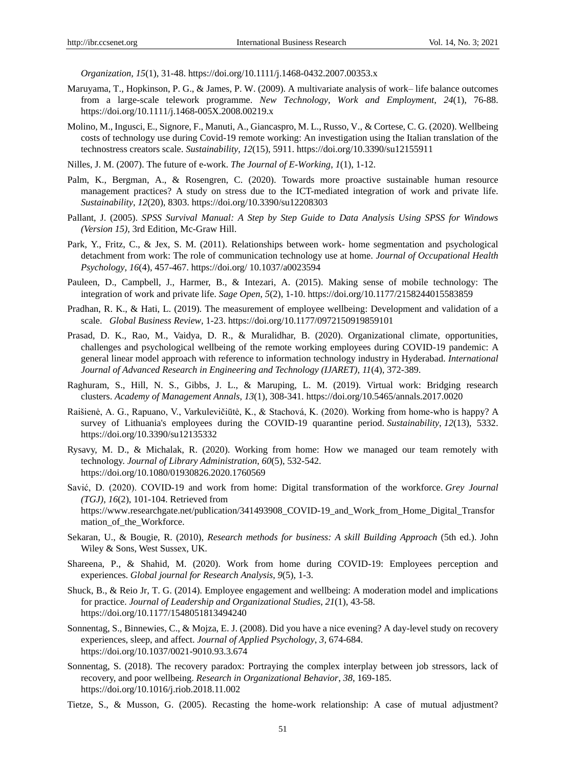*Organization, 15*(1), 31-48.<https://doi.org/10.1111/j.1468-0432.2007.00353.x>

- Maruyama, T., Hopkinson, P. G., & James, P. W. (2009). A multivariate analysis of work– life balance outcomes from a large-scale telework programme. *New Technology, Work and Employment*, *24*(1), 76-88. https://doi.org/10.1111/j.1468-005X.2008.00219.x
- Molino, M., Ingusci, E., Signore, F., Manuti, A., Giancaspro, M. L., Russo, V., & Cortese, C. G. (2020). Wellbeing costs of technology use during Covid-19 remote working: An investigation using the Italian translation of the technostress creators scale. *Sustainability*, *12*(15), 5911.<https://doi.org/10.3390/su12155911>
- Nilles, J. M. (2007). The future of e-work. *The Journal of E-Working*, *1*(1), 1-12.
- Palm, K., Bergman, A., & Rosengren, C. (2020). Towards more proactive sustainable human resource management practices? A study on stress due to the ICT-mediated integration of work and private life. *Sustainability*, *12*(20), 8303.<https://doi.org/10.3390/su12208303>
- Pallant, J. (2005). *SPSS Survival Manual: A Step by Step Guide to Data Analysis Using SPSS for Windows (Version 15)*, 3rd Edition, Mc-Graw Hill.
- Park, Y., Fritz, C., & Jex, S. M. (2011). Relationships between work- home segmentation and psychological detachment from work: The role of communication technology use at home. *Journal of Occupational Health Psychology*, *16*(4), 457-467. https://doi.org/ 10.1037/a0023594
- Pauleen, D., Campbell, J., Harmer, B., & Intezari, A. (2015). Making sense of mobile technology: The integration of work and private life. *Sage Open*, *5*(2), 1-10.<https://doi.org/10.1177/2158244015583859>
- Pradhan, R. K., & Hati, L. (2019). The measurement of employee wellbeing: Development and validation of a scale. *Global Business Review*, 1-23.<https://doi.org/10.1177/0972150919859101>
- Prasad, D. K., Rao, M., Vaidya, D. R., & Muralidhar, B. (2020). Organizational climate, opportunities, challenges and psychological wellbeing of the remote working employees during COVID-19 pandemic: A general linear model approach with reference to information technology industry in Hyderabad. *International Journal of Advanced Research in Engineering and Technology (IJARET)*, *11*(4), 372-389.
- Raghuram, S., Hill, N. S., Gibbs, J. L., & Maruping, L. M. (2019). Virtual work: Bridging research clusters. *Academy of Management Annals*, *13*(1), 308-341.<https://doi.org/10.5465/annals.2017.0020>
- Raišienė, A. G., Rapuano, V., Varkulevičiūtė, K., & Stachová, K. (2020). Working from home-who is happy? A survey of Lithuania's employees during the COVID-19 quarantine period. *Sustainability*, *12*(13), 5332. <https://doi.org/10.3390/su12135332>
- Rysavy, M. D., & Michalak, R. (2020). Working from home: How we managed our team remotely with technology. *Journal of Library Administration*, *60*(5), 532-542. <https://doi.org/10.1080/01930826.2020.1760569>
- Savić, D. (2020). COVID-19 and work from home: Digital transformation of the workforce. *Grey Journal (TGJ)*, *16*(2), 101-104. Retrieved from https://www.researchgate.net/publication/341493908\_COVID-19\_and\_Work\_from\_Home\_Digital\_Transfor mation of the Workforce.
- Sekaran, U., & Bougie, R. (2010), *Research methods for business: A skill Building Approach* (5th ed.). John Wiley & Sons, West Sussex, UK.
- Shareena, P., & Shahid, M. (2020). Work from home during COVID-19: Employees perception and experiences. *Global journal for Research Analysis*, *9*(5), 1-3.
- Shuck, B., & Reio Jr, T. G. (2014). Employee engagement and wellbeing: A moderation model and implications for practice. *Journal of Leadership and Organizational Studies*, *21*(1), 43-58. https://doi.org/10.1177/1548051813494240
- Sonnentag, S., Binnewies, C., & Mojza, E. J. (2008). Did you have a nice evening? A day-level study on recovery experiences, sleep, and affect. *Journal of Applied Psychology*, *3*, 674-684. https://doi.org/10.1037/0021-9010.93.3.674
- Sonnentag, S. (2018). The recovery paradox: Portraying the complex interplay between job stressors, lack of recovery, and poor wellbeing. *Research in Organizational Behavior*, *38*, 169-185. <https://doi.org/10.1016/j.riob.2018.11.002>
- Tietze, S., & Musson, G. (2005). Recasting the home-work relationship: A case of mutual adjustment?